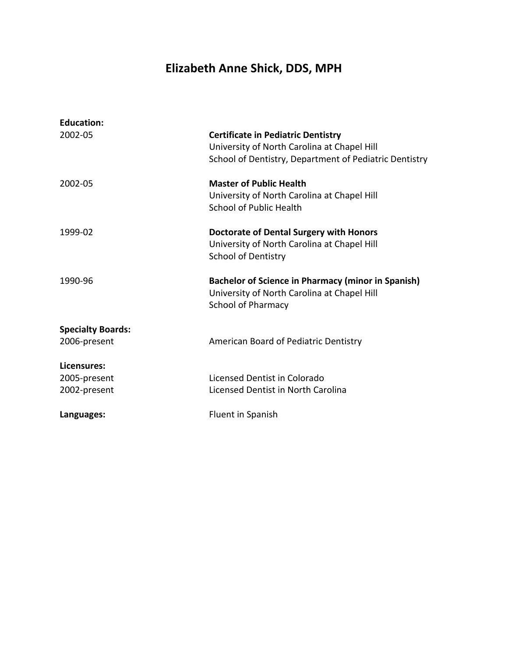# **Elizabeth Anne Shick, DDS, MPH**

| 2002-05                      | <b>Certificate in Pediatric Dentistry</b>                 |
|------------------------------|-----------------------------------------------------------|
|                              | University of North Carolina at Chapel Hill               |
|                              | School of Dentistry, Department of Pediatric Dentistry    |
| 2002-05                      | <b>Master of Public Health</b>                            |
|                              | University of North Carolina at Chapel Hill               |
|                              | School of Public Health                                   |
| 1999-02                      | <b>Doctorate of Dental Surgery with Honors</b>            |
|                              | University of North Carolina at Chapel Hill               |
|                              | <b>School of Dentistry</b>                                |
| 1990-96                      | <b>Bachelor of Science in Pharmacy (minor in Spanish)</b> |
|                              | University of North Carolina at Chapel Hill               |
|                              |                                                           |
|                              | <b>School of Pharmacy</b>                                 |
| <b>Specialty Boards:</b>     |                                                           |
| 2006-present                 | American Board of Pediatric Dentistry                     |
| Licensures:                  |                                                           |
|                              | Licensed Dentist in Colorado                              |
| 2005-present<br>2002-present | Licensed Dentist in North Carolina                        |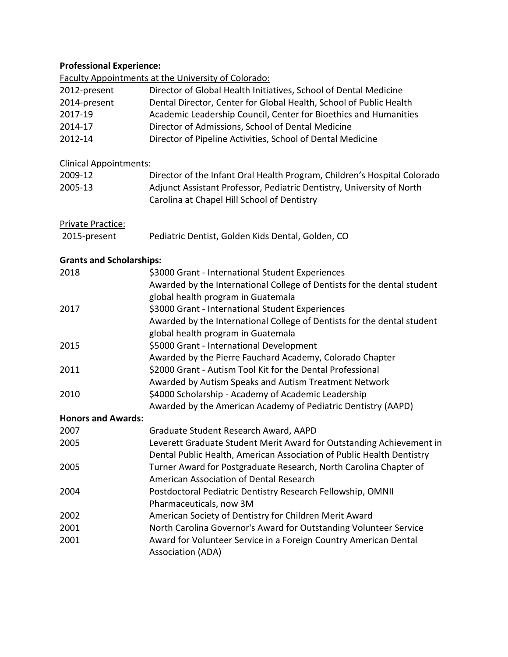# **Professional Experience:**

Faculty Appointments at the University of Colorado:

| 2012-present                    | Director of Global Health Initiatives, School of Dental Medicine         |
|---------------------------------|--------------------------------------------------------------------------|
| 2014-present                    | Dental Director, Center for Global Health, School of Public Health       |
| 2017-19                         | Academic Leadership Council, Center for Bioethics and Humanities         |
| 2014-17                         | Director of Admissions, School of Dental Medicine                        |
| 2012-14                         | Director of Pipeline Activities, School of Dental Medicine               |
|                                 |                                                                          |
| <b>Clinical Appointments:</b>   |                                                                          |
| 2009-12                         | Director of the Infant Oral Health Program, Children's Hospital Colorado |
| 2005-13                         | Adjunct Assistant Professor, Pediatric Dentistry, University of North    |
|                                 | Carolina at Chapel Hill School of Dentistry                              |
| Private Practice:               |                                                                          |
| 2015-present                    | Pediatric Dentist, Golden Kids Dental, Golden, CO                        |
|                                 |                                                                          |
| <b>Grants and Scholarships:</b> |                                                                          |
| 2018                            | \$3000 Grant - International Student Experiences                         |
|                                 | Awarded by the International College of Dentists for the dental student  |
|                                 | global health program in Guatemala                                       |
| 2017                            | \$3000 Grant - International Student Experiences                         |
|                                 | Awarded by the International College of Dentists for the dental student  |
|                                 | global health program in Guatemala                                       |
| 2015                            | \$5000 Grant - International Development                                 |
|                                 | Awarded by the Pierre Fauchard Academy, Colorado Chapter                 |
| 2011                            | \$2000 Grant - Autism Tool Kit for the Dental Professional               |
|                                 | Awarded by Autism Speaks and Autism Treatment Network                    |
| 2010                            | \$4000 Scholarship - Academy of Academic Leadership                      |
|                                 | Awarded by the American Academy of Pediatric Dentistry (AAPD)            |
| <b>Honors and Awards:</b>       |                                                                          |
| 2007                            | Graduate Student Research Award, AAPD                                    |
| 2005                            | Leverett Graduate Student Merit Award for Outstanding Achievement in     |
|                                 | Dental Public Health, American Association of Public Health Dentistry    |
| 2005                            | Turner Award for Postgraduate Research, North Carolina Chapter of        |
|                                 | American Association of Dental Research                                  |
| 2004                            | Postdoctoral Pediatric Dentistry Research Fellowship, OMNII              |
|                                 | Pharmaceuticals, now 3M                                                  |
| 2002                            | American Society of Dentistry for Children Merit Award                   |
| 2001                            | North Carolina Governor's Award for Outstanding Volunteer Service        |
| 2001                            | Award for Volunteer Service in a Foreign Country American Dental         |
|                                 | <b>Association (ADA)</b>                                                 |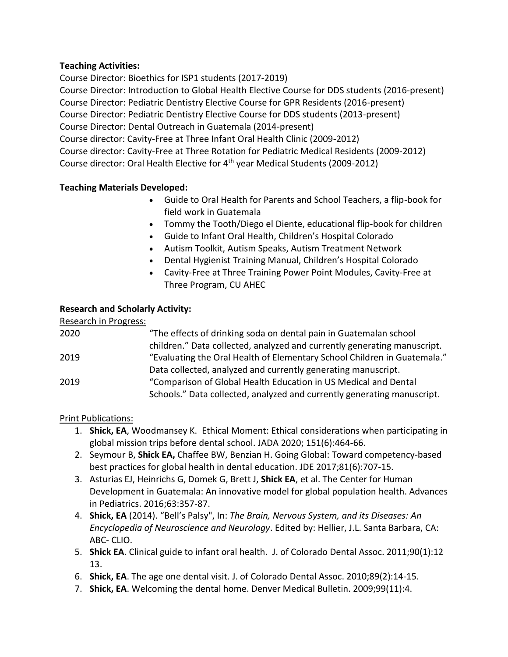### **Teaching Activities:**

Course Director: Bioethics for ISP1 students (2017-2019) Course Director: Introduction to Global Health Elective Course for DDS students (2016-present) Course Director: Pediatric Dentistry Elective Course for GPR Residents (2016-present) Course Director: Pediatric Dentistry Elective Course for DDS students (2013-present) Course Director: Dental Outreach in Guatemala (2014-present) Course director: Cavity-Free at Three Infant Oral Health Clinic (2009-2012) Course director: Cavity-Free at Three Rotation for Pediatric Medical Residents (2009-2012) Course director: Oral Health Elective for 4th year Medical Students (2009-2012)

### **Teaching Materials Developed:**

- Guide to Oral Health for Parents and School Teachers, a flip-book for field work in Guatemala
- Tommy the Tooth/Diego el Diente, educational flip-book for children
- Guide to Infant Oral Health, Children's Hospital Colorado
- Autism Toolkit, Autism Speaks, Autism Treatment Network
- Dental Hygienist Training Manual, Children's Hospital Colorado
- Cavity-Free at Three Training Power Point Modules, Cavity-Free at Three Program, CU AHEC

### **Research and Scholarly Activity:**

| Research in Progress: |                                                                          |
|-----------------------|--------------------------------------------------------------------------|
| 2020                  | "The effects of drinking soda on dental pain in Guatemalan school        |
|                       | children." Data collected, analyzed and currently generating manuscript. |
| 2019                  | "Evaluating the Oral Health of Elementary School Children in Guatemala." |
|                       | Data collected, analyzed and currently generating manuscript.            |
| 2019                  | "Comparison of Global Health Education in US Medical and Dental          |
|                       | Schools." Data collected, analyzed and currently generating manuscript.  |

Print Publications:

- 1. **Shick, EA**, Woodmansey K. Ethical Moment: Ethical considerations when participating in global mission trips before dental school. JADA 2020; 151(6):464-66.
- 2. Seymour B, **Shick EA,** Chaffee BW, Benzian H. Going Global: Toward competency-based best practices for global health in dental education. JDE 2017;81(6):707-15.
- 3. Asturias EJ, Heinrichs G, Domek G, Brett J, **Shick EA**, et al. The Center for Human Development in Guatemala: An innovative model for global population health. Advances in Pediatrics. 2016;63:357-87.
- 4. **Shick, EA** (2014). "Bell's Palsy", In: *The Brain, Nervous System, and its Diseases: An Encyclopedia of Neuroscience and Neurology*. Edited by: Hellier, J.L. Santa Barbara, CA: ABC- CLIO.
- 5. **Shick EA**. Clinical guide to infant oral health. J. of Colorado Dental Assoc. 2011;90(1):12 13.
- 6. **Shick, EA**. The age one dental visit. J. of Colorado Dental Assoc. 2010;89(2):14-15.
- 7. **Shick, EA**. Welcoming the dental home. Denver Medical Bulletin. 2009;99(11):4.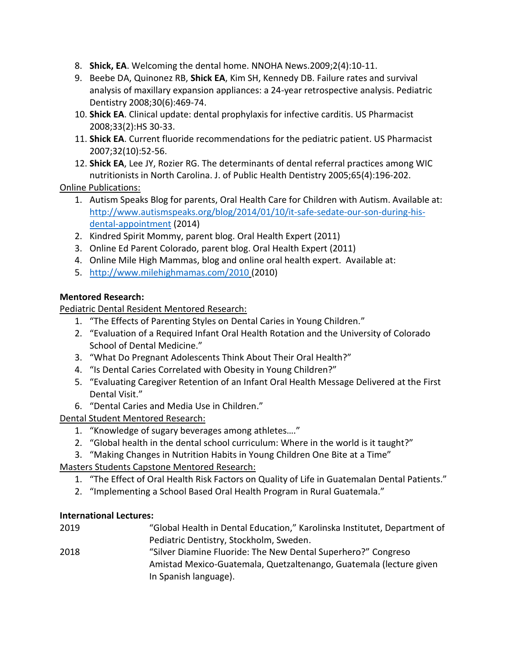- 8. **Shick, EA**. Welcoming the dental home. NNOHA News.2009;2(4):10-11.
- 9. Beebe DA, Quinonez RB, **Shick EA**, Kim SH, Kennedy DB. Failure rates and survival analysis of maxillary expansion appliances: a 24-year retrospective analysis. Pediatric Dentistry 2008;30(6):469-74.
- 10. **Shick EA**. Clinical update: dental prophylaxis for infective carditis. US Pharmacist 2008;33(2):HS 30-33.
- 11. **Shick EA**. Current fluoride recommendations for the pediatric patient. US Pharmacist 2007;32(10):52-56.
- 12. **Shick EA**, Lee JY, Rozier RG. The determinants of dental referral practices among WIC nutritionists in North Carolina. J. of Public Health Dentistry 2005;65(4):196-202.

Online Publications:

- 1. Autism Speaks Blog for parents, Oral Health Care for Children with Autism. Available at: [http://www.autismspeaks.org/blog/2014/01/10/it-safe-sedate-our-son-during-his](http://www.autismspeaks.org/blog/2014/01/10/it-safe-sedate-our-son-during-his-dental-appointment)[dental-appointment](http://www.autismspeaks.org/blog/2014/01/10/it-safe-sedate-our-son-during-his-dental-appointment) (2014)
- 2. Kindred Spirit Mommy, parent blog. Oral Health Expert (2011)
- 3. Online Ed Parent Colorado, parent blog. Oral Health Expert (2011)
- 4. Online Mile High Mammas, blog and online oral health expert. Available at:
- 5. <http://www.milehighmamas.com/2010> (2010)

## **Mentored Research:**

Pediatric Dental Resident Mentored Research:

- 1. "The Effects of Parenting Styles on Dental Caries in Young Children."
- 2. "Evaluation of a Required Infant Oral Health Rotation and the University of Colorado School of Dental Medicine."
- 3. "What Do Pregnant Adolescents Think About Their Oral Health?"
- 4. "Is Dental Caries Correlated with Obesity in Young Children?"
- 5. "Evaluating Caregiver Retention of an Infant Oral Health Message Delivered at the First Dental Visit."
- 6. "Dental Caries and Media Use in Children."

Dental Student Mentored Research:

- 1. "Knowledge of sugary beverages among athletes…."
- 2. "Global health in the dental school curriculum: Where in the world is it taught?"
- 3. "Making Changes in Nutrition Habits in Young Children One Bite at a Time"

Masters Students Capstone Mentored Research:

- 1. "The Effect of Oral Health Risk Factors on Quality of Life in Guatemalan Dental Patients."
- 2. "Implementing a School Based Oral Health Program in Rural Guatemala."

### **International Lectures:**

2019 "Global Health in Dental Education," Karolinska Institutet, Department of Pediatric Dentistry, Stockholm, Sweden. 2018 "Silver Diamine Fluoride: The New Dental Superhero?" Congreso Amistad Mexico-Guatemala, Quetzaltenango, Guatemala (lecture given In Spanish language).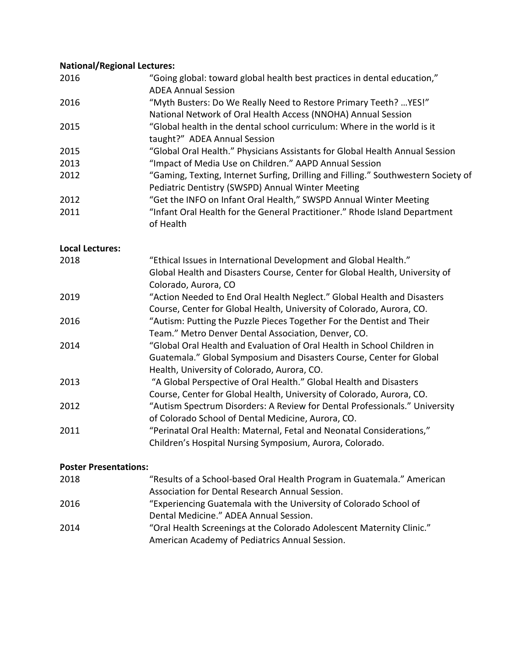# **National/Regional Lectures:**

| 2016                   | "Going global: toward global health best practices in dental education,"<br><b>ADEA Annual Session</b>                                                                                         |
|------------------------|------------------------------------------------------------------------------------------------------------------------------------------------------------------------------------------------|
| 2016                   | "Myth Busters: Do We Really Need to Restore Primary Teeth?  YES!"<br>National Network of Oral Health Access (NNOHA) Annual Session                                                             |
| 2015                   | "Global health in the dental school curriculum: Where in the world is it<br>taught?" ADEA Annual Session                                                                                       |
| 2015                   | "Global Oral Health." Physicians Assistants for Global Health Annual Session                                                                                                                   |
| 2013                   | "Impact of Media Use on Children." AAPD Annual Session                                                                                                                                         |
| 2012                   | "Gaming, Texting, Internet Surfing, Drilling and Filling." Southwestern Society of<br>Pediatric Dentistry (SWSPD) Annual Winter Meeting                                                        |
| 2012                   | "Get the INFO on Infant Oral Health," SWSPD Annual Winter Meeting                                                                                                                              |
| 2011                   | "Infant Oral Health for the General Practitioner." Rhode Island Department<br>of Health                                                                                                        |
| <b>Local Lectures:</b> |                                                                                                                                                                                                |
| 2018                   | "Ethical Issues in International Development and Global Health."<br>Global Health and Disasters Course, Center for Global Health, University of<br>Colorado, Aurora, CO                        |
| 2019                   | "Action Needed to End Oral Health Neglect." Global Health and Disasters<br>Course, Center for Global Health, University of Colorado, Aurora, CO.                                               |
| 2016                   | "Autism: Putting the Puzzle Pieces Together For the Dentist and Their<br>Team." Metro Denver Dental Association, Denver, CO.                                                                   |
| 2014                   | "Global Oral Health and Evaluation of Oral Health in School Children in<br>Guatemala." Global Symposium and Disasters Course, Center for Global<br>Health, University of Colorado, Aurora, CO. |
| 2013                   | "A Global Perspective of Oral Health." Global Health and Disasters<br>Course, Center for Global Health, University of Colorado, Aurora, CO.                                                    |
| 2012                   | "Autism Spectrum Disorders: A Review for Dental Professionals." University<br>of Colorado School of Dental Medicine, Aurora, CO.                                                               |
| 2011                   | "Perinatal Oral Health: Maternal, Fetal and Neonatal Considerations,"<br>Children's Hospital Nursing Symposium, Aurora, Colorado.                                                              |

# **Poster Presentations:**

| 2018 | "Results of a School-based Oral Health Program in Guatemala." American |
|------|------------------------------------------------------------------------|
|      | Association for Dental Research Annual Session.                        |
| 2016 | "Experiencing Guatemala with the University of Colorado School of      |
|      | Dental Medicine." ADEA Annual Session.                                 |
| 2014 | "Oral Health Screenings at the Colorado Adolescent Maternity Clinic."  |
|      | American Academy of Pediatrics Annual Session.                         |